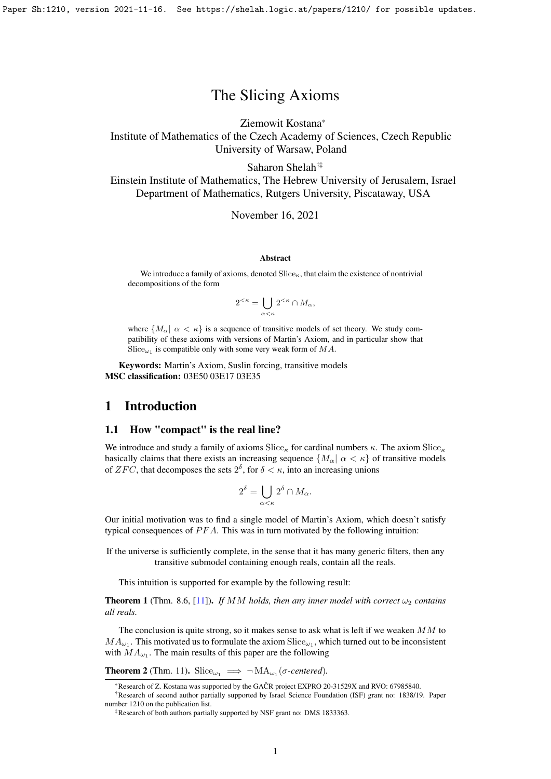# The Slicing Axioms

Ziemowit Kostana\*

Institute of Mathematics of the Czech Academy of Sciences, Czech Republic University of Warsaw, Poland

Saharon Shelah†‡

Einstein Institute of Mathematics, The Hebrew University of Jerusalem, Israel Department of Mathematics, Rutgers University, Piscataway, USA

November 16, 2021

#### Abstract

We introduce a family of axioms, denoted  $\text{Slice}_\kappa$ , that claim the existence of nontrivial decompositions of the form

$$
2^{<\kappa} = \bigcup_{\alpha < \kappa} 2^{<\kappa} \cap M_\alpha,
$$

where  $\{M_{\alpha} \mid \alpha < \kappa\}$  is a sequence of transitive models of set theory. We study compatibility of these axioms with versions of Martin's Axiom, and in particular show that  $\operatorname{Slice}_{\omega_1}$  is compatible only with some very weak form of  $MA$ .

Keywords: Martin's Axiom, Suslin forcing, transitive models MSC classification: 03E50 03E17 03E35

### 1 Introduction

#### 1.1 How "compact" is the real line?

We introduce and study a family of axioms  $Slice_{\kappa}$  for cardinal numbers  $\kappa$ . The axiom  $Slice_{\kappa}$ basically claims that there exists an increasing sequence  $\{M_{\alpha} | \alpha \lt \kappa\}$  of transitive models of  $ZFC$ , that decomposes the sets  $2^{\delta}$ , for  $\delta < \kappa$ , into an increasing unions

$$
2^{\delta} = \bigcup_{\alpha < \kappa} 2^{\delta} \cap M_{\alpha}.
$$

Our initial motivation was to find a single model of Martin's Axiom, which doesn't satisfy typical consequences of  $PFA$ . This was in turn motivated by the following intuition:

If the universe is sufficiently complete, in the sense that it has many generic filters, then any transitive submodel containing enough reals, contain all the reals.

This intuition is supported for example by the following result:

**Theorem 1** (Thm. 8.6, [\[11\]](#page-14-0)). *If MM holds, then any inner model with correct*  $\omega_2$  *contains all reals.*

The conclusion is quite strong, so it makes sense to ask what is left if we weaken  $MM$  to  $MA_{\omega_1}$ . This motivated us to formulate the axiom  $\text{Slice}_{\omega_1}$ , which turned out to be inconsistent with  $MA_{\omega_1}$ . The main results of this paper are the following

**Theorem 2** (Thm. [11\)](#page-3-0). Slice<sub> $\omega_1$ </sub>  $\implies \neg MA_{\omega_1}(\sigma\text{-centered})$ .

<sup>\*</sup>Research of Z. Kostana was supported by the GACR project EXPRO 20-31529X and RVO: 67985840. ˇ

<sup>†</sup>Research of second author partially supported by Israel Science Foundation (ISF) grant no: 1838/19. Paper number 1210 on the publication list.

<sup>‡</sup>Research of both authors partially supported by NSF grant no: DMS 1833363.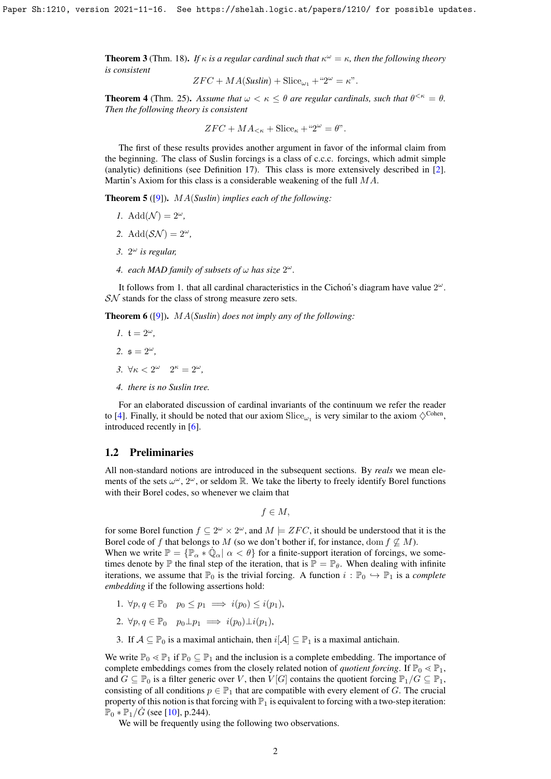**Theorem 3** (Thm. [18\)](#page-4-0). *If*  $\kappa$  *is a regular cardinal such that*  $\kappa^{\omega} = \kappa$ *, then the following theory is consistent*

$$
ZFC + MA(Suslin) + \text{Slice}_{\omega_1} + "2^{\omega} = \kappa".
$$

**Theorem 4** (Thm. [25\)](#page-10-0). Assume that  $\omega < \kappa \leq \theta$  are regular cardinals, such that  $\theta^{<\kappa} = \theta$ . *Then the following theory is consistent*

$$
ZFC + MA_{<\kappa} + \text{Slice}_{\kappa} + "2^{\omega} = \theta".
$$

The first of these results provides another argument in favor of the informal claim from the beginning. The class of Suslin forcings is a class of c.c.c. forcings, which admit simple (analytic) definitions (see Definition [17\)](#page-4-1). This class is more extensively described in [\[2\]](#page-13-0). Martin's Axiom for this class is a considerable weakening of the full MA.

Theorem 5 ([\[9\]](#page-14-1)). MA(*Suslin*) *implies each of the following:*

- *1.* Add $(\mathcal{N}) = 2^{\omega}$ ,
- 2. Add $(S\mathcal{N}) = 2^{\omega}$ ,
- *3.* 2 <sup>ω</sup> *is regular,*
- 4. *each MAD family of subsets of*  $\omega$  *has size*  $2^{\omega}$ *.*

It follows from 1. that all cardinal characteristics in the Cichon's diagram have value  $2^{\omega}$ . SN stands for the class of strong measure zero sets.

Theorem 6 ([\[9\]](#page-14-1)). MA(*Suslin*) *does not imply any of the following:*

- *1.*  $t = 2^{\omega}$ *.*
- 2.  $s = 2^{\omega}$ .
- *3.*  $\forall \kappa < 2^{\omega}$   $2^{\kappa} = 2^{\omega}$ ,
- *4. there is no Suslin tree.*

For an elaborated discussion of cardinal invariants of the continuum we refer the reader to [\[4\]](#page-13-1). Finally, it should be noted that our axiom  $\text{Slice}_{\omega_1}$  is very similar to the axiom  $\diamondsuit^{\text{Cohen}}$ , introduced recently in [\[6\]](#page-13-2).

#### 1.2 Preliminaries

All non-standard notions are introduced in the subsequent sections. By *reals* we mean elements of the sets  $\omega^{\omega}$ ,  $2^{\omega}$ , or seldom R. We take the liberty to freely identify Borel functions with their Borel codes, so whenever we claim that

 $f \in M$ ,

for some Borel function  $f \subseteq 2^{\omega} \times 2^{\omega}$ , and  $M \models ZFC$ , it should be understood that it is the Borel code of f that belongs to M (so we don't bother if, for instance, dom  $f \not\subseteq M$ ).

When we write  $\mathbb{P} = {\mathbb{P}_\alpha * \dot{\mathbb{Q}}_\alpha | \alpha < \theta}$  for a finite-support iteration of forcings, we sometimes denote by  $\mathbb P$  the final step of the iteration, that is  $\mathbb P = \mathbb P_\theta$ . When dealing with infinite iterations, we assume that  $\mathbb{P}_0$  is the trivial forcing. A function  $i : \mathbb{P}_0 \hookrightarrow \mathbb{P}_1$  is a *complete embedding* if the following assertions hold:

- 1.  $\forall p, q \in \mathbb{P}_0$   $p_0 \leq p_1 \implies i(p_0) \leq i(p_1),$
- 2.  $\forall p, q \in \mathbb{P}_0$   $p_0 \perp p_1 \implies i(p_0) \perp i(p_1),$
- 3. If  $A \subseteq \mathbb{P}_0$  is a maximal antichain, then  $i[A] \subseteq \mathbb{P}_1$  is a maximal antichain.

We write  $\mathbb{P}_0 \leq \mathbb{P}_1$  if  $\mathbb{P}_0 \subseteq \mathbb{P}_1$  and the inclusion is a complete embedding. The importance of complete embeddings comes from the closely related notion of *quotient forcing*. If  $\mathbb{P}_0 \leq \mathbb{P}_1$ , and  $G \subseteq \mathbb{P}_0$  is a filter generic over V, then  $V[G]$  contains the quotient forcing  $\mathbb{P}_1/G \subseteq \mathbb{P}_1$ , consisting of all conditions  $p \in \mathbb{P}_1$  that are compatible with every element of G. The crucial property of this notion is that forcing with  $\mathbb{P}_1$  is equivalent to forcing with a two-step iteration:  $\mathbb{P}_0 * \mathbb{P}_1 / G$  (see [\[10\]](#page-14-2), p.244).

We will be frequently using the following two observations.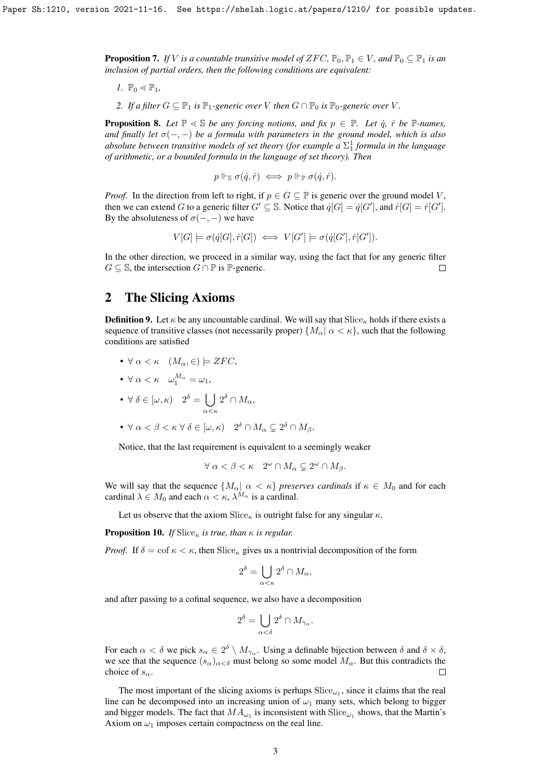<span id="page-2-1"></span>**Proposition 7.** *If V is a countable transitive model of*  $ZFC$ ,  $\mathbb{P}_0$ ,  $\mathbb{P}_1 \in V$ , and  $\mathbb{P}_0 \subseteq \mathbb{P}_1$  *is an inclusion of partial orders, then the following conditions are equivalent:*

*1.*  $\mathbb{P}_0 \leq \mathbb{P}_1$ 

*2. If a filter*  $G \subseteq \mathbb{P}_1$  *is*  $\mathbb{P}_1$ *-generic over V then*  $G \cap \mathbb{P}_0$  *is*  $\mathbb{P}_0$ *-generic over V*.

<span id="page-2-0"></span>**Proposition 8.** Let  $\mathbb{P} \leq \mathbb{S}$  *be any forcing notions, and fix*  $p \in \mathbb{P}$ *. Let*  $\dot{q}$ *,*  $\dot{r}$  *be*  $\mathbb{P}$ *-names, and finally let*  $\sigma(-, -)$  *be a formula with parameters in the ground model, which is also* absolute between transitive models of set theory (for example a  $\Sigma^1_1$  formula in the language *of arithmetic, or a bounded formula in the language of set theory). Then*

$$
p \Vdash_{\mathbb{S}} \sigma(\dot{q}, \dot{r}) \iff p \Vdash_{\mathbb{P}} \sigma(\dot{q}, \dot{r}).
$$

*Proof.* In the direction from left to right, if  $p \in G \subseteq \mathbb{P}$  is generic over the ground model V, then we can extend G to a generic filter  $G' \subseteq \mathbb{S}$ . Notice that  $\dot{q}[G] = \dot{q}[G']$ , and  $\dot{r}[G] = \dot{r}[G']$ . By the absoluteness of  $\sigma(-, -)$  we have

 $V[G] \models \sigma(\dot{q}[G], \dot{r}[G]) \iff V[G'] \models \sigma(\dot{q}[G'], \dot{r}[G']).$ 

In the other direction, we proceed in a similar way, using the fact that for any generic filter  $G \subseteq \mathbb{S}$ , the intersection  $G \cap \mathbb{P}$  is  $\mathbb{P}$ -generic. П

## 2 The Slicing Axioms

**Definition 9.** Let  $\kappa$  be any uncountable cardinal. We will say that Slice<sub>k</sub> holds if there exists a sequence of transitive classes (not necessarily proper)  $\{M_{\alpha} | \alpha \lt \kappa\}$ , such that the following conditions are satisfied

•  $\forall \alpha < \kappa \quad (M_\alpha, \in) \models ZFC,$ 

• 
$$
\forall \alpha < \kappa \quad \omega_1^{M_\alpha} = \omega_1,
$$

• 
$$
\forall \delta \in [\omega, \kappa)
$$
  $2^{\delta} = \bigcup_{\alpha < \kappa} 2^{\delta} \cap M_{\alpha},$ 

• 
$$
\forall \alpha < \beta < \kappa \ \forall \ \delta \in [\omega, \kappa) \quad 2^{\delta} \cap M_{\alpha} \subsetneq 2^{\delta} \cap M_{\beta}.
$$

Notice, that the last requirement is equivalent to a seemingly weaker

$$
\forall \alpha < \beta < \kappa \quad 2^{\omega} \cap M_{\alpha} \subsetneq 2^{\omega} \cap M_{\beta}.
$$

We will say that the sequence  $\{M_{\alpha} \mid \alpha < \kappa\}$  *preserves cardinals* if  $\kappa \in M_0$  and for each cardinal  $\lambda \in M_0$  and each  $\alpha < \kappa$ ,  $\lambda^{M_\alpha}$  is a cardinal.

Let us observe that the axiom  $Slice_{\kappa}$  is outright false for any singular  $\kappa$ .

**Proposition 10.** *If* Slice<sub>κ</sub> *is true, than*  $\kappa$  *is regular.* 

*Proof.* If  $\delta = \text{cof } \kappa < \kappa$ , then  $\text{Slice}_{\kappa}$  gives us a nontrivial decomposition of the form

$$
2^{\delta} = \bigcup_{\alpha < \kappa} 2^{\delta} \cap M_{\alpha},
$$

and after passing to a cofinal sequence, we also have a decomposition

$$
2^\delta=\bigcup_{\alpha<\delta}2^\delta\cap M_{\gamma_\alpha}.
$$

For each  $\alpha < \delta$  we pick  $s_\alpha \in 2^\delta \setminus M_{\gamma_\alpha}$ . Using a definable bijection between  $\delta$  and  $\delta \times \delta$ , we see that the sequence  $(s_\alpha)_{\alpha<\delta}$  must belong so some model  $M_\alpha$ . But this contradicts the choice of  $s_\alpha$ . П

The most important of the slicing axioms is perhaps  $\text{Slice}_{\omega_1}$ , since it claims that the real line can be decomposed into an increasing union of  $\omega_1$  many sets, which belong to bigger and bigger models. The fact that  $MA_{\omega_1}$  is inconsistent with  $\textnormal{Slice}_{\omega_1}$  shows, that the Martin's Axiom on  $\omega_1$  imposes certain compactness on the real line.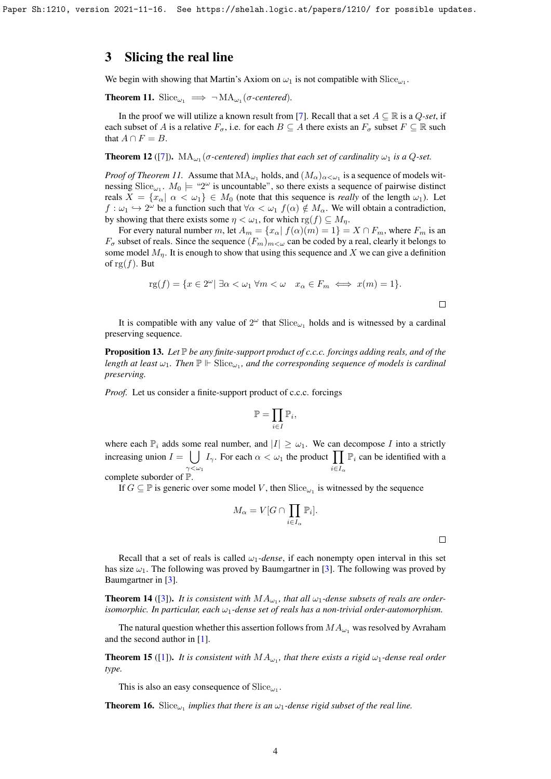## 3 Slicing the real line

We begin with showing that Martin's Axiom on  $\omega_1$  is not compatible with  $\operatorname{Slice}_{\omega_1}$ .

<span id="page-3-0"></span>**Theorem 11.** Slice<sub> $\omega_1$ </sub>  $\implies \neg MA_{\omega_1}(\sigma\text{-centered})$ *.* 

In the proof we will utilize a known result from [\[7\]](#page-13-3). Recall that a set  $A \subseteq \mathbb{R}$  is a  $Q\text{-}set$ , if each subset of A is a relative  $F_{\sigma}$ , i.e. for each  $B \subseteq A$  there exists an  $F_{\sigma}$  subset  $F \subseteq \mathbb{R}$  such that  $A \cap F = B$ .

**Theorem 12** ([\[7\]](#page-13-3)).  $MA_{\omega_1}(\sigma\text{-centered})$  implies that each set of cardinality  $\omega_1$  is a Q-set.

*Proof of Theorem [11.](#page-3-0)* Assume that  $MA_{\omega_1}$  holds, and  $(M_\alpha)_{\alpha<\omega_1}$  is a sequence of models witnessing Slice<sub> $\omega_1$ </sub>.  $M_0 \models$  "2" is uncountable", so there exists a sequence of pairwise distinct reals  $X = \{x_\alpha | \alpha < \omega_1\} \in M_0$  (note that this sequence is *really* of the length  $\omega_1$ ). Let  $f: \omega_1 \hookrightarrow 2^{\omega}$  be a function such that  $\forall \alpha < \omega_1$   $f(\alpha) \notin M_\alpha$ . We will obtain a contradiction, by showing that there exists some  $\eta < \omega_1$ , for which  $\text{rg}(f) \subseteq M_{\eta}$ .

For every natural number m, let  $A_m = \{x_\alpha | f(\alpha)(m) = 1\} = X \cap F_m$ , where  $F_m$  is an  $F_{\sigma}$  subset of reals. Since the sequence  $(F_m)_{m<\omega}$  can be coded by a real, clearly it belongs to some model  $M_n$ . It is enough to show that using this sequence and X we can give a definition of rg $(f)$ . But

$$
rg(f) = \{x \in 2^{\omega} | \exists \alpha < \omega_1 \forall m < \omega \quad x_{\alpha} \in F_m \iff x(m) = 1\}.
$$

It is compatible with any value of  $2^{\omega}$  that  $\text{Slice}_{\omega_1}$  holds and is witnessed by a cardinal preserving sequence.

<span id="page-3-1"></span>**Proposition 13.** Let  $\mathbb P$  *be any finite-support product of c.c.c. forcings adding reals, and of the* length at least  $\omega_1$ . Then  $\mathbb{P} \Vdash \operatorname{Slice}_{\omega_1}$ , and the corresponding sequence of models is cardinal *preserving.*

*Proof.* Let us consider a finite-support product of c.c.c. forcings

$$
\mathbb{P}=\prod_{i\in I}\mathbb{P}_i,
$$

where each  $\mathbb{P}_i$  adds some real number, and  $|I| \geq \omega_1$ . We can decompose I into a strictly increasing union  $I = \bigcup I_{\gamma}$ . For each  $\alpha < \omega_1$  the product  $\prod \mathbb{P}_i$  can be identified with a  $\gamma<\omega_1$  $i \in I_{\alpha}$ complete suborder of P.

If  $G \subseteq \mathbb{P}$  is generic over some model V, then  $\text{Slice}_{\omega_1}$  is witnessed by the sequence

$$
M_{\alpha} = V[G \cap \prod_{i \in I_{\alpha}} \mathbb{P}_i].
$$

 $\Box$ 

Recall that a set of reals is called  $\omega_1$ -dense, if each nonempty open interval in this set has size  $\omega_1$ . The following was proved by Baumgartner in [\[3\]](#page-13-4). The following was proved by Baumgartner in [\[3\]](#page-13-4).

**Theorem 14** ([\[3\]](#page-13-4)). It is consistent with  $MA_{\omega_1}$ , that all  $\omega_1$ -dense subsets of reals are order*isomorphic. In particular, each*  $\omega_1$ *-dense set of reals has a non-trivial order-automorphism.* 

The natural question whether this assertion follows from  $MA_{\omega_1}$  was resolved by Avraham and the second author in [\[1\]](#page-13-5).

**Theorem 15** ([\[1\]](#page-13-5)). It is consistent with  $MA_{\omega_1}$ , that there exists a rigid  $\omega_1$ -dense real order *type.*

This is also an easy consequence of  $\operatorname{Slice}_{\omega_1}$ .

**Theorem 16.** Slice<sub> $\omega_1$ </sub> implies that there is an  $\omega_1$ -dense rigid subset of the real line.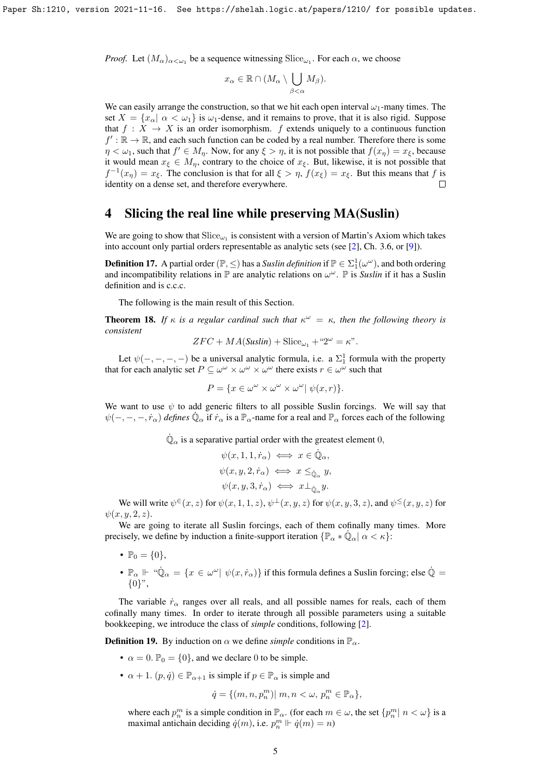*Proof.* Let  $(M_\alpha)_{\alpha<\omega_1}$  be a sequence witnessing  $Slice_{\omega_1}$ . For each  $\alpha$ , we choose

$$
x_{\alpha} \in \mathbb{R} \cap (M_{\alpha} \setminus \bigcup_{\beta < \alpha} M_{\beta}).
$$

We can easily arrange the construction, so that we hit each open interval  $\omega_1$ -many times. The set  $X = \{x_{\alpha} | \alpha < \omega_1\}$  is  $\omega_1$ -dense, and it remains to prove, that it is also rigid. Suppose that  $f : X \to X$  is an order isomorphism. f extends uniquely to a continuous function  $f' : \mathbb{R} \to \mathbb{R}$ , and each such function can be coded by a real number. Therefore there is some  $\eta < \omega_1$ , such that  $f' \in M_{\eta}$ . Now, for any  $\xi > \eta$ , it is not possible that  $f(x_{\eta}) = x_{\xi}$ , because it would mean  $x_{\xi} \in M_n$ , contrary to the choice of  $x_{\xi}$ . But, likewise, it is not possible that  $f^{-1}(x_\eta) = x_\xi$ . The conclusion is that for all  $\xi > \eta$ ,  $f(x_\xi) = x_\xi$ . But this means that f is identity on a dense set, and therefore everywhere.  $\Box$ 

## 4 Slicing the real line while preserving MA(Suslin)

We are going to show that  $\operatorname{Slice}_{\omega_1}$  is consistent with a version of Martin's Axiom which takes into account only partial orders representable as analytic sets (see [\[2\]](#page-13-0), Ch. 3.6, or [\[9\]](#page-14-1)).

<span id="page-4-1"></span>**Definition 17.** A partial order  $(\mathbb{P}, \leq)$  has a *Suslin definition* if  $\mathbb{P} \in \Sigma_1^1(\omega^\omega)$ , and both ordering and incompatibility relations in  $\mathbb P$  are analytic relations on  $\omega^\omega$ .  $\mathbb P$  is *Suslin* if it has a Suslin definition and is c.c.c.

The following is the main result of this Section.

<span id="page-4-0"></span>**Theorem 18.** If  $\kappa$  is a regular cardinal such that  $\kappa^{\omega} = \kappa$ , then the following theory is *consistent*

$$
ZFC + MA(Suslin) + \text{Slice}_{\omega_1} + "2^{\omega} = \kappa".
$$

Let  $\psi(-, -, -, -)$  be a universal analytic formula, i.e. a  $\Sigma_1^1$  formula with the property that for each analytic set  $P \subseteq \omega^{\omega} \times \omega^{\omega} \times \omega^{\omega}$  there exists  $r \in \omega^{\omega}$  such that

$$
P = \{ x \in \omega^{\omega} \times \omega^{\omega} \times \omega^{\omega} | \psi(x, r) \}.
$$

We want to use  $\psi$  to add generic filters to all possible Suslin forcings. We will say that  $\psi(-,-,-,r_\alpha)$  *defines*  $\dot{\mathbb{Q}}_\alpha$  if  $\dot{r}_\alpha$  is a  $\mathbb{P}_\alpha$ -name for a real and  $\mathbb{P}_\alpha$  forces each of the following

 $\dot{\mathbb{Q}}_{\alpha}$  is a separative partial order with the greatest element 0,

$$
\begin{aligned} &\psi(x,1,1,\dot{r}_\alpha) \iff x \in \dot{\mathbb{Q}}_\alpha, \\ &\psi(x,y,2,\dot{r}_\alpha) \iff x \leq_{\dot{\mathbb{Q}}_\alpha} y, \\ &\psi(x,y,3,\dot{r}_\alpha) \iff x \perp_{\dot{\mathbb{Q}}_\alpha} y. \end{aligned}
$$

We will write  $\psi^{\in} (x, z)$  for  $\psi (x, 1, 1, z)$ ,  $\psi^{\perp} (x, y, z)$  for  $\psi (x, y, 3, z)$ , and  $\psi^{\leq} (x, y, z)$  for  $\psi(x,y,2,z)$ .

We are going to iterate all Suslin forcings, each of them cofinally many times. More precisely, we define by induction a finite-support iteration  $\{\mathbb{P}_\alpha * \dot{\mathbb{Q}}_\alpha | \alpha < \kappa\}$ :

- $\mathbb{P}_0 = \{0\},\,$
- $\mathbb{P}_{\alpha}$   $\Vdash$  " $\dot{\mathbb{Q}}_{\alpha} = \{x \in \omega^{\omega} | \psi(x, \dot{r}_{\alpha})\}$  if this formula defines a Suslin forcing; else  $\dot{\mathbb{Q}} =$  $\{0\}$ ",

The variable  $\dot{r}_{\alpha}$  ranges over all reals, and all possible names for reals, each of them cofinally many times. In order to iterate through all possible parameters using a suitable bookkeeping, we introduce the class of *simple* conditions, following [\[2\]](#page-13-0).

**Definition 19.** By induction on  $\alpha$  we define *simple* conditions in  $\mathbb{P}_{\alpha}$ .

- $\alpha = 0$ .  $\mathbb{P}_0 = \{0\}$ , and we declare 0 to be simple.
- $\alpha + 1$ .  $(p, \dot{q}) \in \mathbb{P}_{\alpha+1}$  is simple if  $p \in \mathbb{P}_{\alpha}$  is simple and

$$
\dot{q} = \{ (m, n, p_n^m) | m, n < \omega, p_n^m \in \mathbb{P}_{\alpha} \},
$$

where each  $p_n^m$  is a simple condition in  $\mathbb{P}_{\alpha}$ . (for each  $m \in \omega$ , the set  $\{p_n^m | n < \omega\}$  is a maximal antichain deciding  $\dot{q}(m)$ , i.e.  $p_n^m \Vdash \dot{q}(m) = n$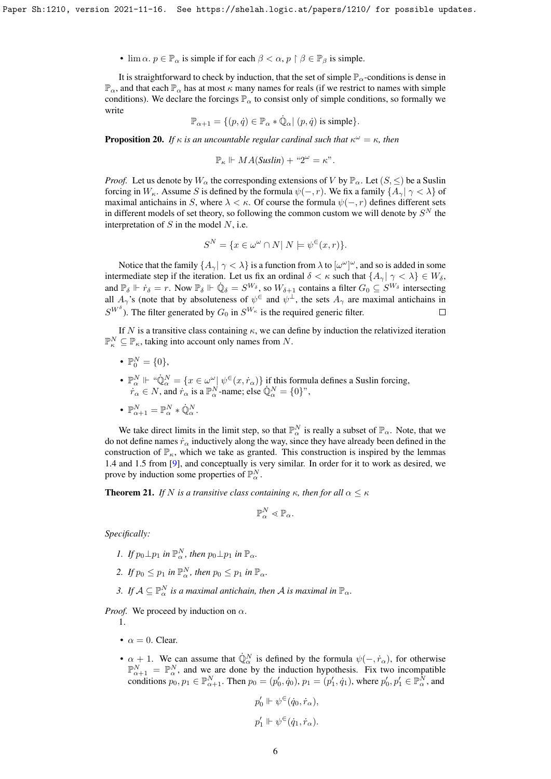•  $\lim \alpha, p \in \mathbb{P}_\alpha$  is simple if for each  $\beta < \alpha, p \restriction \beta \in \mathbb{P}_\beta$  is simple.

It is straightforward to check by induction, that the set of simple  $\mathbb{P}_{\alpha}$ -conditions is dense in  $\mathbb{P}_{\alpha}$ , and that each  $\mathbb{P}_{\alpha}$  has at most  $\kappa$  many names for reals (if we restrict to names with simple conditions). We declare the forcings  $\mathbb{P}_{\alpha}$  to consist only of simple conditions, so formally we write

$$
\mathbb{P}_{\alpha+1} = \{ (p, \dot{q}) \in \mathbb{P}_{\alpha} * \dot{\mathbb{Q}}_{\alpha} | (p, \dot{q}) \text{ is simple} \}.
$$

**Proposition 20.** If  $\kappa$  is an uncountable regular cardinal such that  $\kappa^{\omega} = \kappa$ , then

$$
\mathbb{P}_{\kappa} \Vdash MA(Suslin) + "2^{\omega} = \kappa".
$$

*Proof.* Let us denote by  $W_{\alpha}$  the corresponding extensions of V by  $\mathbb{P}_{\alpha}$ . Let  $(S, \leq)$  be a Suslin forcing in  $W_{\kappa}$ . Assume S is defined by the formula  $\psi(-, r)$ . We fix a family  $\{A_{\gamma} | \gamma \langle \lambda \rangle\}$  of maximal antichains in S, where  $\lambda < \kappa$ . Of course the formula  $\psi(-, r)$  defines different sets in different models of set theory, so following the common custom we will denote by  $S<sup>N</sup>$  the interpretation of  $S$  in the model  $N$ , i.e.

$$
S^N = \{ x \in \omega^\omega \cap N | N \models \psi^{\in}(x, r) \}.
$$

Notice that the family  $\{A_\gamma\|\gamma<\lambda\}$  is a function from  $\lambda$  to  $[\omega^\omega]^\omega$ , and so is added in some intermediate step if the iteration. Let us fix an ordinal  $\delta < \kappa$  such that  $\{A_{\gamma} | \gamma < \lambda\} \in W_{\delta}$ , and  $\mathbb{P}_{\delta} \Vdash \dot{r}_{\delta} = r$ . Now  $\mathbb{P}_{\delta} \Vdash \dot{\mathbb{Q}}_{\delta} = S^{W_{\delta}}$ , so  $W_{\delta+1}$  contains a filter  $G_0 \subseteq S^{W_{\delta}}$  intersecting all  $A_\gamma$ 's (note that by absoluteness of  $\psi^\in$  and  $\psi^\perp$ , the sets  $A_\gamma$  are maximal antichains in  $S^{W^{\delta}}$ ). The filter generated by  $G_0$  in  $S^{W_{\kappa}}$  is the required generic filter.  $\Box$ 

If N is a transitive class containing  $\kappa$ , we can define by induction the relativized iteration  $\mathbb{P}_{\kappa}^N \subseteq \mathbb{P}_{\kappa}$ , taking into account only names from N.

- $\mathbb{P}_{0}^{N} = \{0\},\,$
- $\mathbb{P}^N_\alpha \Vdash \text{``}\dot{\mathbb{Q}}^N_\alpha = \{x \in \omega^\omega \mid \psi^\in(x, r_\alpha)\}\$  if this formula defines a Suslin forcing,  $r_{\alpha} \in N$ , and  $r_{\alpha}$  is a  $\mathbb{P}_{\alpha}^{N}$ -name; else  $\mathbb{Q}_{\alpha}^{N} = \{0\}^{N}$ ,
- $\mathbb{P}^N_{\alpha+1} = \mathbb{P}^N_{\alpha} * \dot{\mathbb{Q}}^N_{\alpha}.$

We take direct limits in the limit step, so that  $\mathbb{P}_{\alpha}^N$  is really a subset of  $\mathbb{P}_{\alpha}$ . Note, that we do not define names  $\dot{r}_{\alpha}$  inductively along the way, since they have already been defined in the construction of  $\mathbb{P}_{\kappa}$ , which we take as granted. This construction is inspired by the lemmas 1.4 and 1.5 from [\[9\]](#page-14-1), and conceptually is very similar. In order for it to work as desired, we prove by induction some properties of  $\mathbb{P}_{\alpha}^N$ .

**Theorem 21.** *If* N *is a transitive class containing*  $\kappa$ *, then for all*  $\alpha \leq \kappa$ 

$$
\mathbb{P}^N_\alpha \lessdot \mathbb{P}_\alpha.
$$

*Specifically:*

- *1. If*  $p_0 \perp p_1$  *in*  $\mathbb{P}^N_\alpha$ *, then*  $p_0 \perp p_1$  *in*  $\mathbb{P}_\alpha$ *.*
- 2. If  $p_0 \leq p_1$  in  $\mathbb{P}^N_\alpha$ , then  $p_0 \leq p_1$  in  $\mathbb{P}_\alpha$ .
- 3. If  $A \subseteq \mathbb{P}_{\alpha}^N$  is a maximal antichain, then A is maximal in  $\mathbb{P}_{\alpha}$ .

*Proof.* We proceed by induction on  $\alpha$ .

1.

- $\alpha = 0$ . Clear.
- $\alpha + 1$ . We can assume that  $\dot{\mathbb{Q}}_{\alpha}^{N}$  is defined by the formula  $\psi(-, \dot{r}_{\alpha})$ , for otherwise  $\mathbb{P}_{\alpha+1}^N = \mathbb{P}_{\alpha}^N$ , and we are done by the induction hypothesis. Fix two incompatible conditions  $p_0, p_1 \in \mathbb{P}_{\alpha+1}^N$ . Then  $p_0 = (p'_0, \dot{q}_0), p_1 = (p'_1, \dot{q}_1)$ , where  $p'_0, p'_1 \in \mathbb{P}_{\alpha}^N$ , and

$$
p_0'\Vdash\psi^\in(\dot q_0,\dot r_\alpha),
$$
  

$$
p_1'\Vdash\psi^\in(\dot q_1,\dot r_\alpha).
$$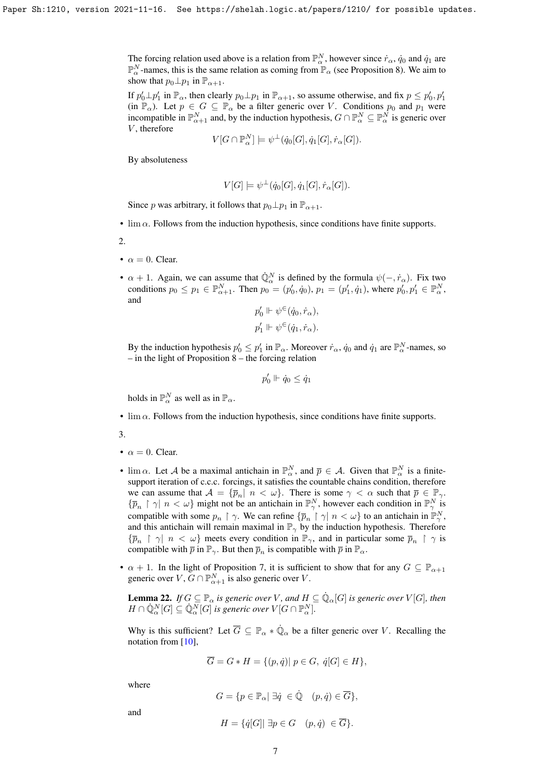The forcing relation used above is a relation from  $\mathbb{P}^N_\alpha$ , however since  $\dot{r}_\alpha$ ,  $\dot{q}_0$  and  $\dot{q}_1$  are  $\mathbb{P}_{\alpha}^N$ -names, this is the same relation as coming from  $\mathbb{P}_{\alpha}$  (see Proposition [8\)](#page-2-0). We aim to show that  $p_0 \perp p_1$  in  $\mathbb{P}_{\alpha+1}$ .

If  $p'_0 \perp p'_1$  in  $\mathbb{P}_\alpha$ , then clearly  $p_0 \perp p_1$  in  $\mathbb{P}_{\alpha+1}$ , so assume otherwise, and fix  $p \le p'_0, p'_1$ (in  $\mathbb{P}_{\alpha}$ ). Let  $p \in G \subseteq \mathbb{P}_{\alpha}$  be a filter generic over V. Conditions  $p_0$  and  $p_1$  were incompatible in  $\mathbb{P}_{\alpha+1}^N$  and, by the induction hypothesis,  $G \cap \mathbb{P}_{\alpha}^N \subseteq \mathbb{P}_{\alpha}^N$  is generic over  $V$ , therefore

$$
V[G \cap \mathbb{P}_{\alpha}^N] \models \psi^{\perp}(\dot{q}_0[G], \dot{q}_1[G], \dot{r}_{\alpha}[G]).
$$

By absoluteness

$$
V[G] \models \psi^{\perp}(\dot{q}_0[G], \dot{q}_1[G], \dot{r}_\alpha[G]).
$$

Since p was arbitrary, it follows that  $p_0 \perp p_1$  in  $\mathbb{P}_{\alpha+1}$ .

•  $\lim \alpha$ . Follows from the induction hypothesis, since conditions have finite supports.

2.

- $\alpha = 0$ . Clear.
- $\alpha + 1$ . Again, we can assume that  $\dot{\mathbb{Q}}_{\alpha}^{N}$  is defined by the formula  $\psi(-, \dot{r}_{\alpha})$ . Fix two conditions  $p_0 \le p_1 \in \mathbb{P}_{\alpha+1}^N$ . Then  $p_0 = (p'_0, q_0), p_1 = (p'_1, q_1)$ , where  $p'_0, p'_1 \in \mathbb{P}_{\alpha}^N$ , and

$$
p'_0 \Vdash \psi^{\in}(\dot{q}_0, \dot{r}_\alpha),
$$
  

$$
p'_1 \Vdash \psi^{\in}(\dot{q}_1, \dot{r}_\alpha).
$$

By the induction hypothesis  $p'_0 \le p'_1$  in  $\mathbb{P}_\alpha$ . Moreover  $\dot{r}_\alpha$ ,  $\dot{q}_0$  and  $\dot{q}_1$  are  $\mathbb{P}^N_\alpha$ -names, so – in the light of Proposition [8](#page-2-0) – the forcing relation

$$
p'_0 \Vdash \dot{q}_0 \leq \dot{q}_1
$$

holds in  $\mathbb{P}_{\alpha}^N$  as well as in  $\mathbb{P}_{\alpha}$ .

 $\bullet$  lim  $\alpha$ . Follows from the induction hypothesis, since conditions have finite supports.

3.

- $\alpha = 0$ . Clear.
- lim  $\alpha$ . Let A be a maximal antichain in  $\mathbb{P}_{\alpha}^N$ , and  $\overline{p} \in A$ . Given that  $\mathbb{P}_{\alpha}^N$  is a finitesupport iteration of c.c.c. forcings, it satisfies the countable chains condition, therefore we can assume that  $A = {\overline{p}_n | n < \omega}$ . There is some  $\gamma < \alpha$  such that  $\overline{p} \in \mathbb{P}_{\gamma}$ .  $\{\bar{p}_n \restriction \gamma \mid n < \omega\}$  might not be an antichain in  $\mathbb{P}^N_\gamma$ , however each condition in  $\mathbb{P}^N_\gamma$  is compatible with some  $p_n \restriction \gamma$ . We can refine  $\{\overline{p}_n \restriction \gamma \mid n < \omega\}$  to an antichain in  $\mathbb{P}^N_\gamma$ , and this antichain will remain maximal in  $\mathbb{P}_{\gamma}$  by the induction hypothesis. Therefore  ${\{\overline{p}_n \mid \gamma \mid n < \omega\}}$  meets every condition in  $\mathbb{P}_{\gamma}$ , and in particular some  $\overline{p}_n \restriction \gamma$  is compatible with  $\bar{p}$  in  $\mathbb{P}_{\gamma}$ . But then  $\bar{p}_n$  is compatible with  $\bar{p}$  in  $\mathbb{P}_{\alpha}$ .
- $\alpha + 1$ . In the light of Proposition [7,](#page-2-1) it is sufficient to show that for any  $G \subseteq \mathbb{P}_{\alpha+1}$ generic over  $V$ ,  $G \cap \mathbb{P}_{\alpha+1}^N$  is also generic over V.

<span id="page-6-0"></span>**Lemma 22.** If  $G \subseteq \mathbb{P}_{\alpha}$  is generic over V, and  $H \subseteq \dot{\mathbb{Q}}_{\alpha}[G]$  is generic over  $V[G]$ , then  $H \cap \dot{\mathbb{Q}}_{\alpha}^N[G] \subseteq \dot{\mathbb{Q}}_{\alpha}^N[G]$  is generic over  $V[G \cap \mathbb{P}^N_\alpha]$ .

Why is this sufficient? Let  $\overline{G} \subseteq \mathbb{P}_{\alpha} * \dot{\mathbb{Q}}_{\alpha}$  be a filter generic over V. Recalling the notation from [\[10\]](#page-14-2),

$$
\overline{G} = G * H = \{ (p, \dot{q}) | p \in G, \dot{q}[G] \in H \},
$$

where

$$
G=\{p\in\mathbb{P}_\alpha|\; \exists \dot q\; \in \dot{\mathbb{Q}}\quad (p,\dot q)\in \overline{G}\},
$$

and

$$
H = \{ \dot{q}[G] | \exists p \in G \quad (p, \dot{q}) \in \overline{G} \}.
$$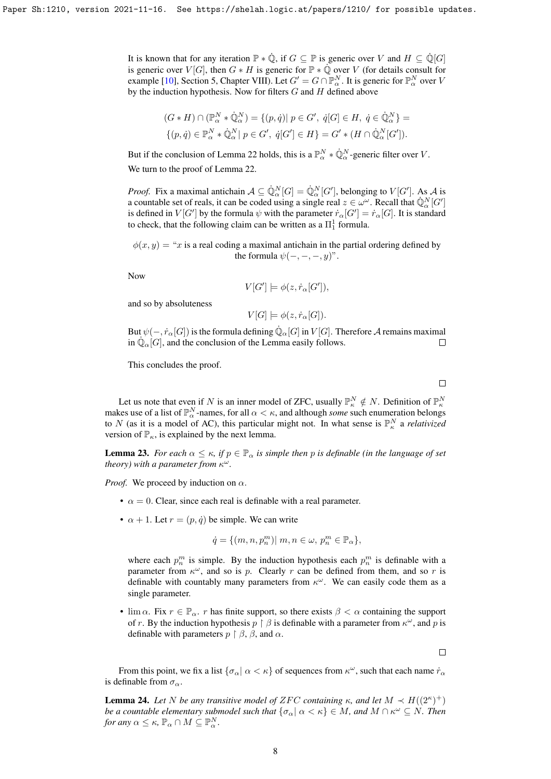It is known that for any iteration  $\mathbb{P} * \dot{\mathbb{Q}}$ , if  $G \subseteq \mathbb{P}$  is generic over V and  $H \subseteq \dot{\mathbb{Q}}[G]$ is generic over  $V[G]$ , then  $G * H$  is generic for  $\mathbb{P} * \mathbb{Q}$  over V (for details consult for example [\[10\]](#page-14-2), Section 5, Chapter VIII). Let  $G' = G \cap \mathbb{P}_{\alpha}^N$ . It is generic for  $\mathbb{P}_{\alpha}^N$  over V by the induction hypothesis. Now for filters  $G$  and  $H$  defined above

$$
(G * H) \cap (\mathbb{P}_{\alpha}^N * \dot{\mathbb{Q}}_{\alpha}^N) = \{(p, \dot{q}) \mid p \in G', \ \dot{q}[G] \in H, \ \dot{q} \in \dot{\mathbb{Q}}_{\alpha}^N\} =
$$

$$
\{(p, \dot{q}) \in \mathbb{P}_{\alpha}^N * \dot{\mathbb{Q}}_{\alpha}^N \mid p \in G', \ \dot{q}[G'] \in H\} = G' * (H \cap \dot{\mathbb{Q}}_{\alpha}^N[G'])
$$

But if the conclusion of Lemma [22](#page-6-0) holds, this is a  $\mathbb{P}_{\alpha}^N * \dot{\mathbb{Q}}_{\alpha}^N$ -generic filter over V. We turn to the proof of Lemma [22.](#page-6-0)

*Proof.* Fix a maximal antichain  $A \subseteq \mathbb{Q}_{\alpha}^N[G] = \mathbb{Q}_{\alpha}^N[G']$ , belonging to  $V[G']$ . As A is a countable set of reals, it can be coded using a single real  $z \in \omega^\omega$ . Recall that  $\mathbb{Q}_\alpha^N[G']$ is defined in  $V[G']$  by the formula  $\psi$  with the parameter  $\dot{r}_\alpha[G'] = \dot{r}_\alpha[G]$ . It is standard to check, that the following claim can be written as a  $\Pi^1_1$  formula.

 $\phi(x, y) = x$  is a real coding a maximal antichain in the partial ordering defined by the formula  $\psi(-, -, -, y)$ ".

Now

$$
V[G'] \models \phi(z, \dot{r}_\alpha[G']),
$$

and so by absoluteness

 $V[G] \models \phi(z, \dot{r}_\alpha[G]).$ 

But  $\psi(-,\dot{r}_\alpha[G])$  is the formula defining  $\dot{\mathbb{Q}}_\alpha[G]$  in  $V[G]$ . Therefore  ${\mathcal{A}}$  remains maximal in  $\mathbb{Q}_{\alpha}[G]$ , and the conclusion of the Lemma easily follows.  $\Box$ 

This concludes the proof.

 $\Box$ 

Let us note that even if N is an inner model of ZFC, usually  $\mathbb{P}_{\kappa}^N \notin N$ . Definition of  $\mathbb{P}_{\kappa}^N$ makes use of a list of  $\mathbb{P}_{\alpha}^N$ -names, for all  $\alpha < \kappa$ , and although *some* such enumeration belongs to N (as it is a model of AC), this particular might not. In what sense is  $\mathbb{P}_{\kappa}^{N}$  a *relativized* version of  $\mathbb{P}_{\kappa}$ , is explained by the next lemma.

**Lemma 23.** *For each*  $\alpha \leq \kappa$ , *if*  $p \in \mathbb{P}_\alpha$  *is simple then* p *is definable (in the language of set theory) with a parameter from* κ ω*.*

*Proof.* We proceed by induction on  $\alpha$ .

- $\alpha = 0$ . Clear, since each real is definable with a real parameter.
- $\alpha + 1$ . Let  $r = (p, \dot{q})$  be simple. We can write

$$
\dot{q}=\{(m,n,p_n^m)|\; m,n\in\omega,\, p_n^m\in\mathbb{P}_\alpha\},
$$

where each  $p_n^m$  is simple. By the induction hypothesis each  $p_n^m$  is definable with a parameter from  $\kappa^{\omega}$ , and so is p. Clearly r can be defined from them, and so r is definable with countably many parameters from  $\kappa^{\omega}$ . We can easily code them as a single parameter.

• lim  $\alpha$ . Fix  $r \in \mathbb{P}_{\alpha}$ . r has finite support, so there exists  $\beta < \alpha$  containing the support of r. By the induction hypothesis  $p \restriction \beta$  is definable with a parameter from  $\kappa^{\omega}$ , and p is definable with parameters  $p \restriction \beta$ ,  $\beta$ , and  $\alpha$ .

 $\Box$ 

From this point, we fix a list  $\{\sigma_\alpha | \alpha < \kappa\}$  of sequences from  $\kappa^\omega$ , such that each name  $\dot{r}_\alpha$ is definable from  $\sigma_{\alpha}$ .

<span id="page-7-0"></span>**Lemma 24.** Let N be any transitive model of ZFC containing  $\kappa$ , and let  $M \prec H((2^{\kappa})^+)$ *be a countable elementary submodel such that*  $\{\sigma_\alpha | \alpha < \kappa\} \in M$ , and  $M \cap \kappa^\omega \subseteq N$ . Then *for any*  $\alpha \leq \kappa$ ,  $\mathbb{P}_{\alpha} \cap M \subseteq \mathbb{P}_{\alpha}^{N}$ .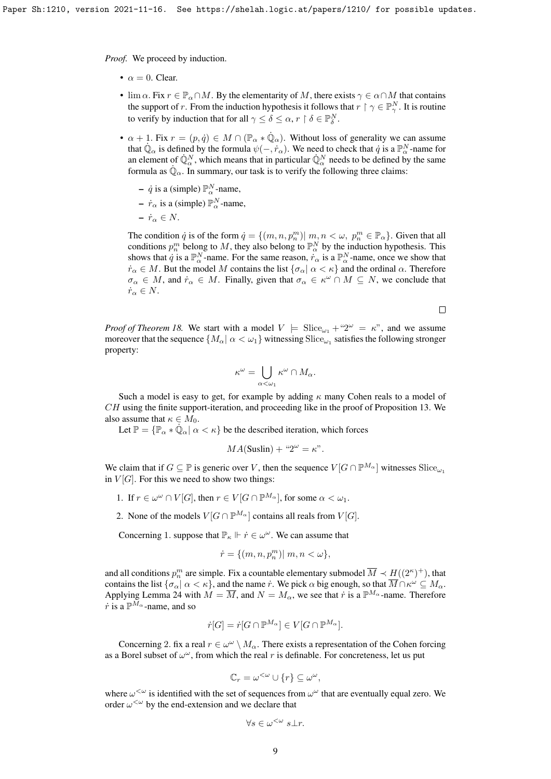*Proof.* We proceed by induction.

- $\alpha = 0$ . Clear.
- $\lim \alpha$ . Fix  $r \in \mathbb{P}_\alpha \cap M$ . By the elementarity of M, there exists  $\gamma \in \alpha \cap M$  that contains the support of r. From the induction hypothesis it follows that  $r \restriction \gamma \in \mathbb{P}_{\gamma}^N$ . It is routine to verify by induction that for all  $\gamma \leq \delta \leq \alpha$ ,  $r \restriction \delta \in \mathbb{P}^N_{\delta}$ .
- $\alpha + 1$ . Fix  $r = (p, \dot{q}) \in M \cap (\mathbb{P}_{\alpha} * \dot{\mathbb{Q}}_{\alpha})$ . Without loss of generality we can assume that  $\dot{\mathbb{Q}}_{\alpha}$  is defined by the formula  $\psi(-, \dot{r}_{\alpha})$ . We need to check that  $\dot{q}$  is a  $\mathbb{P}^N_{\alpha}$ -name for an element of  $\mathbb{Q}_{\alpha}^N$ , which means that in particular  $\mathbb{Q}_{\alpha}^N$  needs to be defined by the same formula as  $\dot{\mathbb{Q}}_{\alpha}$ . In summary, our task is to verify the following three claims:
	- $\dot{q}$  is a (simple)  $\mathbb{P}_{\alpha}^{N}$ -name,
	- $\dot{r}_{\alpha}$  is a (simple)  $\mathbb{P}_{\alpha}^{N}$ -name,
	- $-\dot{r}_{\alpha} \in N$ .

The condition  $\dot{q}$  is of the form  $\dot{q} = \{(m, n, p_n^m) | m, n < \omega, p_n^m \in \mathbb{P}_{\alpha}\}$ . Given that all conditions  $p_n^m$  belong to M, they also belong to  $\mathbb{P}^N_\alpha$  by the induction hypothesis. This shows that  $\dot{q}$  is a  $\mathbb{P}_{\alpha}^N$ -name. For the same reason,  $\dot{r}_{\alpha}$  is a  $\mathbb{P}_{\alpha}^N$ -name, once we show that  $\dot{r}_{\alpha} \in M$ . But the model M contains the list  $\{\sigma_{\alpha} | \alpha \leq \kappa\}$  and the ordinal  $\alpha$ . Therefore  $\sigma_{\alpha} \in M$ , and  $\dot{r}_{\alpha} \in M$ . Finally, given that  $\sigma_{\alpha} \in \kappa^{\omega} \cap M \subseteq N$ , we conclude that  $\dot{r}_\alpha \in N$ .

 $\Box$ 

*Proof of Theorem [18.](#page-4-0)* We start with a model  $V = \text{Slice}_{\omega_1} + 2^{\omega} = \kappa$ <sup>n</sup>, and we assume moreover that the sequence  $\{M_\alpha|\ \alpha<\omega_1\}$  witnessing  $\mathrm{Slice}_{\omega_1}$  satisfies the following stronger property:

$$
\kappa^\omega=\bigcup_{\alpha<\omega_1}\kappa^\omega\cap M_\alpha.
$$

Such a model is easy to get, for example by adding  $\kappa$  many Cohen reals to a model of  $CH$  using the finite support-iteration, and proceeding like in the proof of Proposition [13.](#page-3-1) We also assume that  $\kappa \in M_0$ .

Let  $\mathbb{P} = {\mathbb{P}_\alpha * \dot{\mathbb{Q}}_\alpha | \alpha < \kappa}$  be the described iteration, which forces

$$
MA(Suslin) + "2\omega = \kappa".
$$

We claim that if  $G \subseteq \mathbb{P}$  is generic over V, then the sequence  $V[G \cap \mathbb{P}^{M_{\alpha}}]$  witnesses  $\text{Slice}_{\omega}$ in  $V[G]$ . For this we need to show two things:

- 1. If  $r \in \omega^{\omega} \cap V[G]$ , then  $r \in V[G \cap \mathbb{P}^{M_{\alpha}}]$ , for some  $\alpha < \omega_1$ .
- 2. None of the models  $V[G \cap \mathbb{P}^{M_{\alpha}}]$  contains all reals from  $V[G]$ .

Concerning 1. suppose that  $\mathbb{P}_{\kappa} \Vdash \dot{r} \in \omega^{\omega}$ . We can assume that

$$
\dot{r} = \{ (m, n, p_n^m) | m, n < \omega \},
$$

and all conditions  $p_n^m$  are simple. Fix a countable elementary submodel  $\overline{M} \prec H((2^\kappa)^+)$ , that contains the list  $\{\sigma_\alpha|\ \alpha<\kappa\}$ , and the name  $\dot{r}$ . We pick  $\alpha$  big enough, so that  $\overline{M}\cap\kappa^\omega\subseteq M_\alpha$ . Applying Lemma [24](#page-7-0) with  $M = \overline{M}$ , and  $N = M_{\alpha}$ , we see that r is a  $\mathbb{P}^{M_{\alpha}}$ -name. Therefore  $\dot{r}$  is a  $\mathbb{P}^{M_{\alpha}}$ -name, and so

$$
\dot{r}[G] = \dot{r}[G \cap \mathbb{P}^{M_{\alpha}}] \in V[G \cap \mathbb{P}^{M_{\alpha}}].
$$

Concerning 2. fix a real  $r \in \omega^{\omega} \setminus M_{\alpha}$ . There exists a representation of the Cohen forcing as a Borel subset of  $\omega^{\omega}$ , from which the real r is definable. For concreteness, let us put

$$
\mathbb{C}_r = \omega^{<\omega} \cup \{r\} \subseteq \omega^\omega,
$$

where  $\omega^{\langle\omega\rangle}$  is identified with the set of sequences from  $\omega^{\omega}$  that are eventually equal zero. We order  $\omega^{\langle\omega\rangle}$  by the end-extension and we declare that

$$
\forall s \in \omega^{<\omega} \ s \bot r.
$$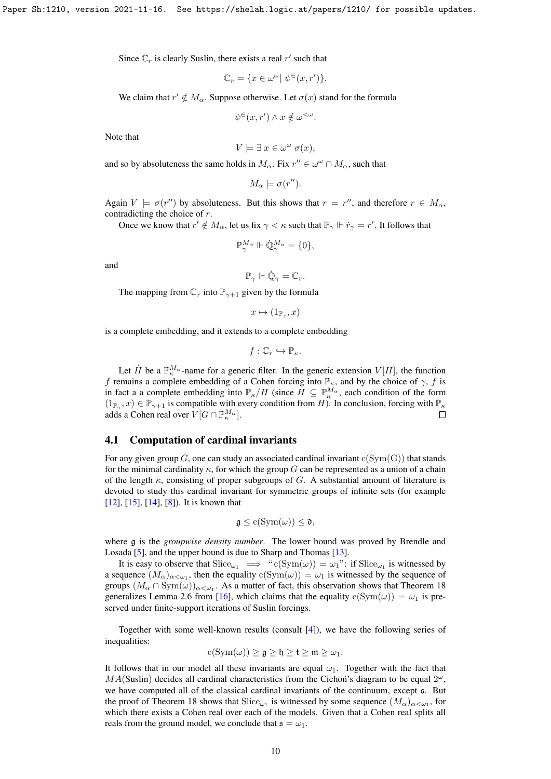Since  $\mathbb{C}_r$  is clearly Suslin, there exists a real  $r'$  such that

$$
\mathbb{C}_r = \{ x \in \omega^{\omega} | \psi^{\in} (x, r') \}.
$$

We claim that  $r' \notin M_\alpha$ . Suppose otherwise. Let  $\sigma(x)$  stand for the formula

$$
\psi^{\in}(x,r') \wedge x \notin \omega^{<\omega}.
$$

Note that

$$
V \models \exists x \in \omega^{\omega} \sigma(x),
$$

and so by absoluteness the same holds in  $M_{\alpha}$ . Fix  $r'' \in \omega^{\omega} \cap M_{\alpha}$ , such that

$$
M_{\alpha} \models \sigma(r'').
$$

Again  $V \models \sigma(r'')$  by absoluteness. But this shows that  $r = r''$ , and therefore  $r \in M_\alpha$ , contradicting the choice of r.

Once we know that  $r' \notin M_\alpha$ , let us fix  $\gamma < \kappa$  such that  $\mathbb{P}_\gamma \Vdash \dot{r}_\gamma = r'$ . It follows that

$$
\mathbb{P}^{M_{\alpha}}_{\gamma} \Vdash \dot{\mathbb{Q}}^{M_{\alpha}}_{\gamma} = \{0\},
$$

and

$$
\mathbb{P}_{\gamma} \Vdash \dot{\mathbb{Q}}_{\gamma} = \mathbb{C}_{r}.
$$

The mapping from  $\mathbb{C}_r$  into  $\mathbb{P}_{\gamma+1}$  given by the formula

$$
x \mapsto (1_{\mathbb{P}_\gamma}, x)
$$

is a complete embedding, and it extends to a complete embedding

$$
f: \mathbb{C}_r \hookrightarrow \mathbb{P}_{\kappa}.
$$

Let  $\dot{H}$  be a  $\mathbb{P}_{\kappa}^{M_{\alpha}}$ -name for a generic filter. In the generic extension  $V[H]$ , the function f remains a complete embedding of a Cohen forcing into  $\mathbb{P}_{\kappa}$ , and by the choice of  $\gamma$ , f is in fact a a complete embedding into  $\mathbb{P}_{\kappa}/H$  (since  $H \subseteq \mathbb{P}_{\kappa}^{M_{\alpha}}$ , each condition of the form  $(1_{\mathbb{P}_\gamma},x)\in\mathbb{P}_{\gamma+1}$  is compatible with every condition from H). In conclusion, forcing with  $\mathbb{P}_\kappa$ adds a Cohen real over  $V[G \cap \mathbb{P}^{M_\alpha}_\kappa].$  $\Box$ 

#### 4.1 Computation of cardinal invariants

For any given group G, one can study an associated cardinal invariant  $c(Sym(G))$  that stands for the minimal cardinality  $\kappa$ , for which the group G can be represented as a union of a chain of the length  $\kappa$ , consisting of proper subgroups of G. A substantial amount of literature is devoted to study this cardinal invariant for symmetric groups of infinite sets (for example [\[12\]](#page-14-3), [\[15\]](#page-14-4), [\[14\]](#page-14-5), [\[8\]](#page-13-6)). It is known that

$$
\mathfrak{g} \leq c(\mathrm{Sym}(\omega)) \leq \mathfrak{d},
$$

where g is the *groupwise density number*. The lower bound was proved by Brendle and Losada [\[5\]](#page-13-7), and the upper bound is due to Sharp and Thomas [\[13\]](#page-14-6).

It is easy to observe that  $\text{Slice}_{\omega_1} \implies$  " $c(\text{Sym}(\omega)) = \omega_1$ ": if  $\text{Slice}_{\omega_1}$  is witnessed by a sequence  $(M_\alpha)_{\alpha<\omega_1}$ , then the equality  $c(Sym(\omega)) = \omega_1$  is witnessed by the sequence of groups  $(M_\alpha \cap \text{Sym}(\omega))_{\alpha < \omega_1}$ . As a matter of fact, this observation shows that Theorem [18](#page-4-0) generalizes Lemma 2.6 from [\[16\]](#page-14-7), which claims that the equality  $c(Sym(\omega)) = \omega_1$  is preserved under finite-support iterations of Suslin forcings.

Together with some well-known results (consult  $[4]$ ), we have the following series of inequalities:

$$
c(Sym(\omega)) \geq \mathfrak{g} \geq \mathfrak{h} \geq \mathfrak{t} \geq \mathfrak{m} \geq \omega_1.
$$

It follows that in our model all these invariants are equal  $\omega_1$ . Together with the fact that  $MA(Suslin)$  decides all cardinal characteristics from the Cichon's diagram to be equal  $2^{\omega}$ , we have computed all of the classical cardinal invariants of the continuum, except s. But the proof of Theorem [18](#page-4-0) shows that  $\text{Slice}_{\omega_1}$  is witnessed by some sequence  $(M_\alpha)_{\alpha<\omega_1}$ , for which there exists a Cohen real over each of the models. Given that a Cohen real splits all reals from the ground model, we conclude that  $\mathfrak{s} = \omega_1$ .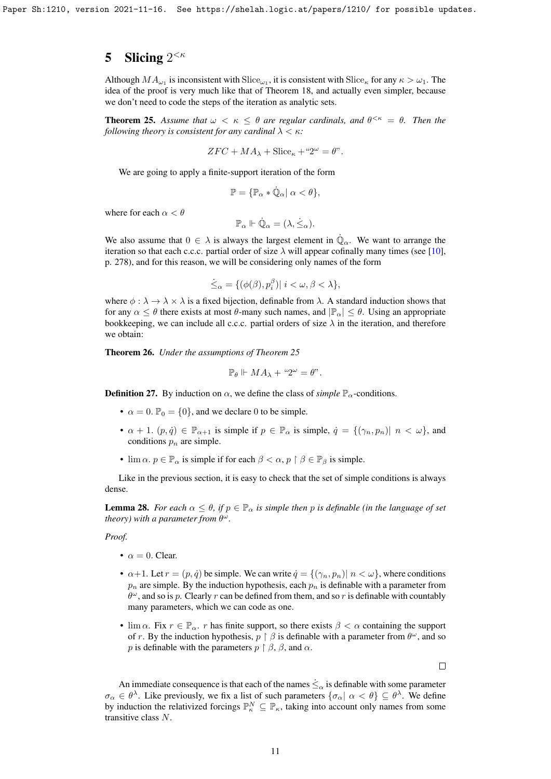# 5 Slicing  $2^{<\kappa}$

Although  $MA_{\omega_1}$  is inconsistent with  $Slice_{\omega_1}$ , it is consistent with  $Slice_{\kappa}$  for any  $\kappa > \omega_1$ . The idea of the proof is very much like that of Theorem [18,](#page-4-0) and actually even simpler, because we don't need to code the steps of the iteration as analytic sets.

<span id="page-10-0"></span>**Theorem 25.** Assume that  $\omega < \kappa \leq \theta$  are regular cardinals, and  $\theta^{\leq \kappa} = \theta$ . Then the *following theory is consistent for any cardinal*  $\lambda < \kappa$ *:* 

$$
ZFC + MA_{\lambda} + \text{Slice}_{\kappa} + "2^{\omega} = \theta".
$$

We are going to apply a finite-support iteration of the form

$$
\mathbb{P} = \{ \mathbb{P}_{\alpha} * \dot{\mathbb{Q}}_{\alpha} | \alpha < \theta \},\
$$

where for each  $\alpha < \theta$ 

$$
\mathbb{P}_{\alpha} \Vdash \dot{\mathbb{Q}}_{\alpha} = (\lambda, \dot{\leq}_{\alpha}).
$$

We also assume that  $0 \in \lambda$  is always the largest element in  $\dot{\mathbb{Q}}_{\alpha}$ . We want to arrange the iteration so that each c.c.c. partial order of size  $\lambda$  will appear cofinally many times (see [\[10\]](#page-14-2), p. 278), and for this reason, we will be considering only names of the form

$$
\dot{\leq}_{\alpha} = \{ (\phi(\beta), p_i^{\beta}) | i < \omega, \beta < \lambda \},\
$$

where  $\phi : \lambda \to \lambda \times \lambda$  is a fixed bijection, definable from  $\lambda$ . A standard induction shows that for any  $\alpha \leq \theta$  there exists at most  $\theta$ -many such names, and  $|\mathbb{P}_{\alpha}| \leq \theta$ . Using an appropriate bookkeeping, we can include all c.c.c. partial orders of size  $\lambda$  in the iteration, and therefore we obtain:

Theorem 26. *Under the assumptions of Theorem [25](#page-10-0)*

$$
\mathbb{P}_{\theta} \Vdash M A_{\lambda} + \text{``} 2^{\omega} = \theta \text{''}.
$$

**Definition 27.** By induction on  $\alpha$ , we define the class of *simple*  $\mathbb{P}_{\alpha}$ -conditions.

- $\alpha = 0$ .  $\mathbb{P}_0 = \{0\}$ , and we declare 0 to be simple.
- $\alpha + 1$ .  $(p, \dot{q}) \in \mathbb{P}_{\alpha+1}$  is simple if  $p \in \mathbb{P}_{\alpha}$  is simple,  $\dot{q} = \{(\gamma_n, p_n) | n < \omega\}$ , and conditions  $p_n$  are simple.
- $\lim \alpha, p \in \mathbb{P}_\alpha$  is simple if for each  $\beta < \alpha, p \restriction \beta \in \mathbb{P}_\beta$  is simple.

Like in the previous section, it is easy to check that the set of simple conditions is always dense.

<span id="page-10-1"></span>**Lemma 28.** *For each*  $\alpha \leq \theta$ *, if*  $p \in \mathbb{P}_\alpha$  *is simple then* p *is definable (in the language of set theory) with a parameter from* θ ω*.*

*Proof.*

- $\alpha = 0$ . Clear.
- $\alpha+1$ . Let  $r = (p, \dot{q})$  be simple. We can write  $\dot{q} = \{(\gamma_n, p_n) | n < \omega\}$ , where conditions  $p_n$  are simple. By the induction hypothesis, each  $p_n$  is definable with a parameter from  $\theta^{\omega}$ , and so is p. Clearly r can be defined from them, and so r is definable with countably many parameters, which we can code as one.
- $\lim \alpha$ . Fix  $r \in \mathbb{P}_{\alpha}$ . r has finite support, so there exists  $\beta < \alpha$  containing the support of r. By the induction hypothesis,  $p \restriction \beta$  is definable with a parameter from  $\theta^{\omega}$ , and so p is definable with the parameters  $p \restriction \beta$ ,  $\beta$ , and  $\alpha$ .

 $\Box$ 

An immediate consequence is that each of the names  $\dot{\leq}_{\alpha}$  is definable with some parameter  $\sigma_\alpha \in \theta^\lambda$ . Like previously, we fix a list of such parameters  $\{\sigma_\alpha | \alpha < \theta\} \subseteq \theta^\lambda$ . We define by induction the relativized forcings  $\mathbb{P}_{\kappa}^N \subseteq \mathbb{P}_{\kappa}$ , taking into account only names from some transitive class N.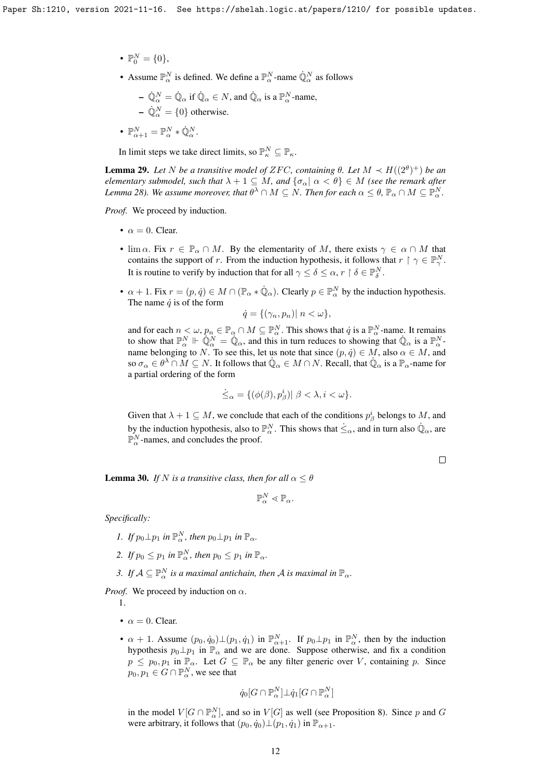- $\mathbb{P}_{0}^{N} = \{0\},\,$
- Assume  $\mathbb{P}_{\alpha}^N$  is defined. We define a  $\mathbb{P}_{\alpha}^N$ -name  $\dot{\mathbb{Q}}_{\alpha}^N$  as follows

- 
$$
\dot{\mathbb{Q}}_{\alpha}^{N} = \dot{\mathbb{Q}}_{\alpha}
$$
 if  $\dot{\mathbb{Q}}_{\alpha} \in N$ , and  $\dot{\mathbb{Q}}_{\alpha}$  is a  $\mathbb{P}_{\alpha}^{N}$ -name,  
-  $\dot{\mathbb{Q}}_{\alpha}^{N} = \{0\}$  otherwise.

•  $\mathbb{P}^N_{\alpha+1} = \mathbb{P}^N_{\alpha} * \dot{\mathbb{Q}}^N_{\alpha}.$ 

In limit steps we take direct limits, so  $\mathbb{P}_{\kappa}^N \subseteq \mathbb{P}_{\kappa}$ .

<span id="page-11-0"></span>**Lemma 29.** Let N be a transitive model of ZFC, containing  $\theta$ . Let  $M \prec H((2^{\theta})^+)$  be an *elementary submodel, such that*  $\lambda + 1 \subseteq M$ *, and*  $\{\sigma_\alpha | \alpha < \theta\} \in M$  (see the remark after Lemma [28\)](#page-10-1). We assume moreover, that  $\theta^\lambda\cap M\subseteq N.$  Then for each  $\alpha\leq\theta$ ,  $\mathbb{P}_\alpha\cap M\subseteq \mathbb{P}^N_\alpha.$ 

*Proof.* We proceed by induction.

- $\alpha = 0$ . Clear.
- $\lim_{\alpha \to \infty} \lim_{r \to \infty} r \in \mathbb{P}_{\alpha} \cap M$ . By the elementarity of M, there exists  $\gamma \in \alpha \cap M$  that contains the support of r. From the induction hypothesis, it follows that  $r \restriction \gamma \in \mathbb{P}_{\gamma}^N$ . It is routine to verify by induction that for all  $\gamma \leq \delta \leq \alpha$ ,  $r \restriction \delta \in \mathbb{P}^N_{\delta}$ .
- $\alpha + 1$ . Fix  $r = (p, \dot{q}) \in M \cap (\mathbb{P}_{\alpha} * \dot{\mathbb{Q}}_{\alpha})$ . Clearly  $p \in \mathbb{P}_{\alpha}^{N}$  by the induction hypothesis. The name  $\dot{q}$  is of the form

$$
\dot{q} = \{(\gamma_n, p_n) | n < \omega\},\
$$

and for each  $n < \omega$ ,  $p_n \in \mathbb{P}_\alpha \cap M \subseteq \mathbb{P}_\alpha^N$ . This shows that  $\dot{q}$  is a  $\mathbb{P}_\alpha^N$ -name. It remains to show that  $\mathbb{P}_{\alpha}^N \Vdash \mathbb{Q}_{\alpha}^N = \mathbb{Q}_{\alpha}$ , and this in turn reduces to showing that  $\mathbb{Q}_{\alpha}$  is a  $\mathbb{P}_{\alpha}^N$ . name belonging to N. To see this, let us note that since  $(p, \dot{q}) \in M$ , also  $\alpha \in M$ , and so  $\sigma_{\alpha} \in \theta^{\lambda} \cap M \subseteq N$ . It follows that  $\dot{\mathbb{Q}}_{\alpha} \in M \cap N$ . Recall, that  $\dot{\mathbb{Q}}_{\alpha}$  is a  $\mathbb{P}_{\alpha}$ -name for a partial ordering of the form

$$
\dot{\leq}_{\alpha} = \{ (\phi(\beta), p_{\beta}^i) | \ \beta < \lambda, i < \omega \}.
$$

Given that  $\lambda + 1 \subseteq M$ , we conclude that each of the conditions  $p^i_\beta$  belongs to M, and by the induction hypothesis, also to  $\mathbb{P}_{\alpha}^N$ . This shows that  $\dot{\leq}_{\alpha}$ , and in turn also  $\dot{\mathbb{Q}}_{\alpha}$ , are  $\mathbb{P}_{\alpha}^N$ -names, and concludes the proof.

 $\Box$ 

**Lemma 30.** *If* N *is a transitive class, then for all*  $\alpha \leq \theta$ 

$$
\mathbb{P}^N_\alpha \lessdot \mathbb{P}_\alpha.
$$

*Specifically:*

- *1. If*  $p_0 \perp p_1$  *in*  $\mathbb{P}^N_\alpha$ *, then*  $p_0 \perp p_1$  *in*  $\mathbb{P}_\alpha$ *.*
- 2. If  $p_0 \leq p_1$  in  $\mathbb{P}^N_\alpha$ , then  $p_0 \leq p_1$  in  $\mathbb{P}_\alpha$ .
- 3. If  $A \subseteq \mathbb{P}_{\alpha}^N$  is a maximal antichain, then A is maximal in  $\mathbb{P}_{\alpha}$ .

*Proof.* We proceed by induction on  $\alpha$ .

1.

- $\alpha = 0$ . Clear.
- $\alpha + 1$ . Assume  $(p_0, \dot{q}_0) \perp (p_1, \dot{q}_1)$  in  $\mathbb{P}_{\alpha+1}^N$ . If  $p_0 \perp p_1$  in  $\mathbb{P}_{\alpha}^N$ , then by the induction hypothesis  $p_0 \perp p_1$  in  $\mathbb{P}_{\alpha}$  and we are done. Suppose otherwise, and fix a condition  $p \leq p_0, p_1$  in  $\mathbb{P}_{\alpha}$ . Let  $G \subseteq \mathbb{P}_{\alpha}$  be any filter generic over V, containing p. Since  $p_0, p_1 \in G \cap \mathbb{P}^N_\alpha$ , we see that

$$
\dot{q}_0[G \cap \mathbb{P}^N_\alpha]\bot \dot{q}_1[G \cap \mathbb{P}^N_\alpha]
$$

in the model  $V[G \cap \mathbb{P}_{\alpha}^N]$ , and so in  $V[G]$  as well (see Proposition [8\)](#page-2-0). Since p and G were arbitrary, it follows that  $(p_0, \dot{q}_0) \bot (p_1, \dot{q}_1)$  in  $\mathbb{P}_{\alpha+1}$ .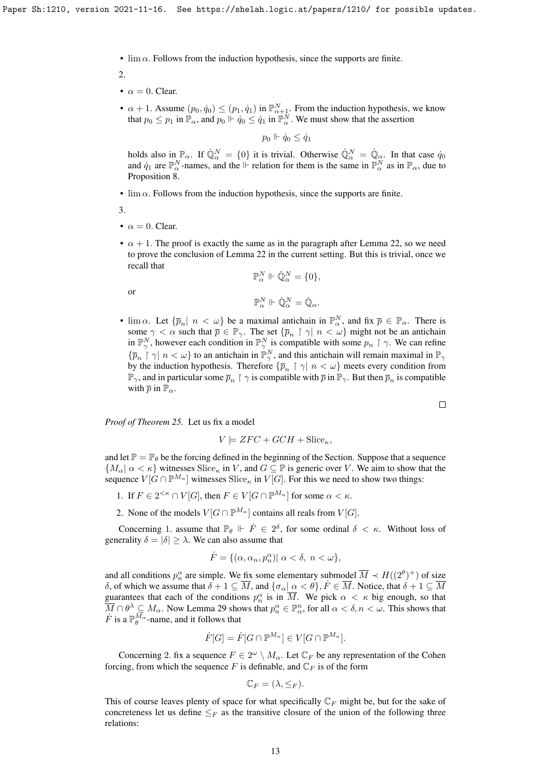•  $\lim \alpha$ . Follows from the induction hypothesis, since the supports are finite.

2.

- $\alpha = 0$ . Clear.
- $\alpha + 1$ . Assume  $(p_0, \dot{q}_0) \leq (p_1, \dot{q}_1)$  in  $\mathbb{P}^N_{\alpha+1}$ . From the induction hypothesis, we know that  $p_0 \le p_1$  in  $\mathbb{P}_{\alpha}$ , and  $p_0 \Vdash \dot{q}_0 \le \dot{q}_1$  in  $\mathbb{P}_{\alpha}^{\dot{N}}$ . We must show that the assertion

 $p_0 \Vdash \dot{q}_0 \leq \dot{q}_1$ 

holds also in  $\mathbb{P}_{\alpha}$ . If  $\dot{\mathbb{Q}}_{\alpha}^{N} = \{0\}$  it is trivial. Otherwise  $\dot{\mathbb{Q}}_{\alpha}^{N} = \dot{\mathbb{Q}}_{\alpha}$ . In that case  $\dot{q}_0$ and  $\dot{q}_1$  are  $\mathbb{P}^N_\alpha$ -names, and the ⊩ relation for them is the same in  $\mathbb{P}^N_\alpha$  as in  $\mathbb{P}_\alpha$ , due to Proposition [8.](#page-2-0)

•  $\lim \alpha$ . Follows from the induction hypothesis, since the supports are finite.

3.

or

- $\alpha = 0$ . Clear.
- $\alpha + 1$ . The proof is exactly the same as in the paragraph after Lemma [22,](#page-6-0) so we need to prove the conclusion of Lemma [22](#page-6-0) in the current setting. But this is trivial, once we recall that

$$
\begin{aligned} \mathbb{P}_\alpha^N \Vdash \dot{\mathbb{Q}}_\alpha^N &= \{0\}, \\ \mathbb{P}_\alpha^N \Vdash \dot{\mathbb{Q}}_\alpha^N &= \dot{\mathbb{Q}}_\alpha. \end{aligned}
$$

•  $\lim \alpha$ . Let  $\{\overline{p}_n \mid n < \omega\}$  be a maximal antichain in  $\mathbb{P}_{\alpha}^N$ , and fix  $\overline{p} \in \mathbb{P}_{\alpha}$ . There is some  $\gamma < \alpha$  such that  $\overline{p} \in \mathbb{P}_{\gamma}$ . The set  $\{\overline{p}_n \restriction \gamma \mid n < \omega\}$  might not be an antichain in  $\mathbb{P}_{\gamma}^N$ , however each condition in  $\mathbb{P}_{\gamma}^N$  is compatible with some  $p_n \restriction \gamma$ . We can refine  $\{\bar{p}_n \restriction \gamma \mid n < \omega\}$  to an antichain in  $\mathbb{P}^N_\gamma$ , and this antichain will remain maximal in  $\mathbb{P}_\gamma$ by the induction hypothesis. Therefore  $\{\bar{p}_n \restriction \gamma \mid n < \omega\}$  meets every condition from  $\mathbb{P}_\gamma$ , and in particular some  $\overline{p}_n \restriction \gamma$  is compatible with  $\overline{p}$  in  $\mathbb{P}_\gamma$ . But then  $\overline{p}_n$  is compatible with  $\bar{p}$  in  $\mathbb{P}_{\alpha}$ .

*Proof of Theorem [25.](#page-10-0)* Let us fix a model

$$
V \models ZFC + GCH + \text{Slice}_\kappa,
$$

and let  $\mathbb{P} = \mathbb{P}_{\theta}$  be the forcing defined in the beginning of the Section. Suppose that a sequence  ${M_\alpha \mid \alpha < \kappa}$  witnesses Slice<sub> $\kappa$ </sub> in V, and  $G \subseteq \mathbb{P}$  is generic over V. We aim to show that the sequence  $V[G \cap \mathbb{P}^{M_{\alpha}}]$  witnesses  $\text{Slice}_{\kappa}$  in  $V[G]$ . For this we need to show two things:

- 1. If  $F \in 2^{<\kappa} \cap V[G]$ , then  $F \in V[G \cap \mathbb{P}^{M_\alpha}]$  for some  $\alpha < \kappa$ .
- 2. None of the models  $V[G \cap \mathbb{P}^{M_{\alpha}}]$  contains all reals from  $V[G]$ .

Concerning 1. assume that  $\mathbb{P}_{\theta}$   $\Vdash \dot{F} \in 2^{\delta}$ , for some ordinal  $\delta < \kappa$ . Without loss of generality  $\delta = |\delta| \geq \lambda$ . We can also assume that

$$
\dot{F} = \{ (\alpha, \alpha_n, p_n^{\alpha}) | \alpha < \delta, \ n < \omega \},
$$

and all conditions  $p_n^{\alpha}$  are simple. We fix some elementary submodel  $\overline{M} \prec H((2^{\theta})^+)$  of size δ, of which we assume that  $\delta + 1 \subseteq \overline{M}$ , and  $\{\sigma_{\alpha} | \alpha < \theta\}$ ,  $\overline{F} \in \overline{M}$ . Notice, that  $\delta + 1 \subseteq \overline{M}$ guarantees that each of the conditions  $p_n^{\alpha}$  is in  $\overline{M}$ . We pick  $\alpha < \kappa$  big enough, so that  $\overline{M} \cap \theta^{\lambda} \subseteq M_{\alpha}$ . Now Lemma [29](#page-11-0) shows that  $p_n^{\alpha} \in \mathbb{P}_{\alpha}^n$ , for all  $\alpha < \delta, n < \omega$ . This shows that  $\dot{F}$  is a  $\mathbb{P}_{\theta}^{M_{\alpha}}$ -name, and it follows that

$$
\dot{F}[G] = \dot{F}[G \cap \mathbb{P}^{M_{\alpha}}] \in V[G \cap \mathbb{P}^{M_{\alpha}}].
$$

Concerning 2. fix a sequence  $F \in 2^{\omega} \setminus M_{\alpha}$ . Let  $\mathbb{C}_F$  be any representation of the Cohen forcing, from which the sequence F is definable, and  $\mathbb{C}_F$  is of the form

$$
\mathbb{C}_F = (\lambda, \leq_F).
$$

This of course leaves plenty of space for what specifically  $\mathbb{C}_F$  might be, but for the sake of concreteness let us define  $\leq_F$  as the transitive closure of the union of the following three relations:

 $\Box$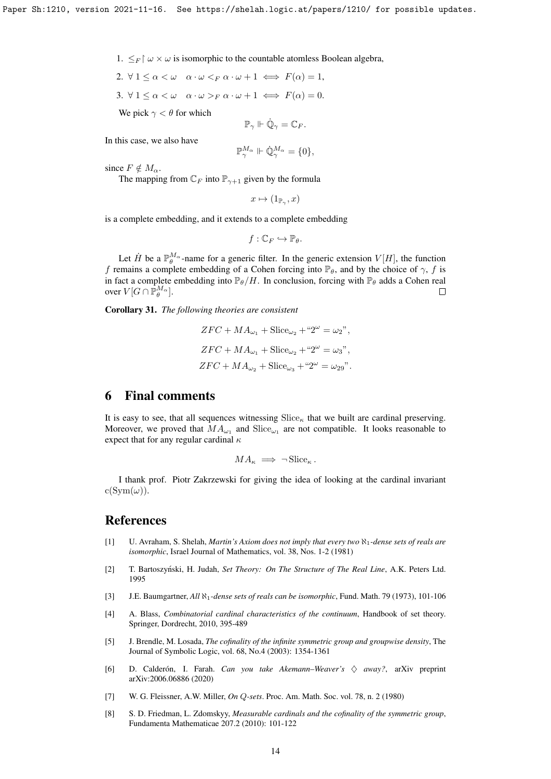1.  $\leq_F \upharpoonright \omega \times \omega$  is isomorphic to the countable atomless Boolean algebra,

2.  $\forall 1 \leq \alpha \leq \omega \quad \alpha \cdot \omega \leq_F \alpha \cdot \omega + 1 \iff F(\alpha) = 1$ ,

3.  $\forall 1 \leq \alpha < \omega \quad \alpha \cdot \omega >_F \alpha \cdot \omega + 1 \iff F(\alpha) = 0.$ 

We pick  $\gamma < \theta$  for which

$$
\mathbb{P}_{\gamma}\Vdash\dot{\mathbb{Q}}_{\gamma}=\mathbb{C}_F.
$$

In this case, we also have

$$
\mathbb{P}^{M_{\alpha}}_{\gamma} \Vdash \dot{\mathbb{Q}}^{M_{\alpha}}_{\gamma} = \{0\},\
$$

since  $F \notin M_{\alpha}$ .

The mapping from  $\mathbb{C}_F$  into  $\mathbb{P}_{\gamma+1}$  given by the formula

 $x \mapsto (1_{\mathbb{P}_\gamma}, x)$ 

is a complete embedding, and it extends to a complete embedding

$$
f:\mathbb{C}_F\hookrightarrow \mathbb{P}_{\theta}.
$$

Let  $\dot{H}$  be a  $\mathbb{P}_{\theta}^{M_{\alpha}}$ -name for a generic filter. In the generic extension  $V[H]$ , the function f remains a complete embedding of a Cohen forcing into  $\mathbb{P}_{\theta}$ , and by the choice of  $\gamma$ , f is in fact a complete embedding into  $\mathbb{P}_{\theta}/H$ . In conclusion, forcing with  $\mathbb{P}_{\theta}$  adds a Cohen real over  $V[G \cap \bar{\mathbb{P}}_{\theta}^{M_{\alpha}}].$  $\Box$ 

Corollary 31. *The following theories are consistent*

$$
ZFC + MA_{\omega_1} + \text{Slice}_{\omega_2} + {``2}^{\omega} = \omega_2",
$$
  
\n
$$
ZFC + MA_{\omega_1} + \text{Slice}_{\omega_2} + {``2}^{\omega} = \omega_3",
$$
  
\n
$$
ZFC + MA_{\omega_2} + \text{Slice}_{\omega_3} + {``2}^{\omega} = \omega_{29}".
$$

## 6 Final comments

It is easy to see, that all sequences witnessing  $\text{Slice}_\kappa$  that we built are cardinal preserving. Moreover, we proved that  $MA_{\omega_1}$  and  $Slice_{\omega_1}$  are not compatible. It looks reasonable to expect that for any regular cardinal  $\kappa$ 

$$
MA_{\kappa} \implies \neg \operatorname{Slice}_{\kappa}.
$$

I thank prof. Piotr Zakrzewski for giving the idea of looking at the cardinal invariant  $c(Sym(\omega)).$ 

### References

- <span id="page-13-5"></span>[1] U. Avraham, S. Shelah, *Martin's Axiom does not imply that every two* ℵ1*-dense sets of reals are isomorphic*, Israel Journal of Mathematics, vol. 38, Nos. 1-2 (1981)
- <span id="page-13-0"></span>[2] T. Bartoszyński, H. Judah, Set Theory: On The Structure of The Real Line, A.K. Peters Ltd. 1995
- <span id="page-13-4"></span>[3] J.E. Baumgartner, *All* ℵ1*-dense sets of reals can be isomorphic*, Fund. Math. 79 (1973), 101-106
- <span id="page-13-1"></span>[4] A. Blass, *Combinatorial cardinal characteristics of the continuum*, Handbook of set theory. Springer, Dordrecht, 2010, 395-489
- <span id="page-13-7"></span>[5] J. Brendle, M. Losada, *The cofinality of the infinite symmetric group and groupwise density*, The Journal of Symbolic Logic, vol. 68, No.4 (2003): 1354-1361
- <span id="page-13-2"></span>[6] D. Calderón, I. Farah. *Can you take Akemann–Weaver's* ♢ *away?*, arXiv preprint arXiv:2006.06886 (2020)
- <span id="page-13-3"></span>[7] W. G. Fleissner, A.W. Miller, *On* Q*-sets*. Proc. Am. Math. Soc. vol. 78, n. 2 (1980)
- <span id="page-13-6"></span>[8] S. D. Friedman, L. Zdomskyy, *Measurable cardinals and the cofinality of the symmetric group*, Fundamenta Mathematicae 207.2 (2010): 101-122